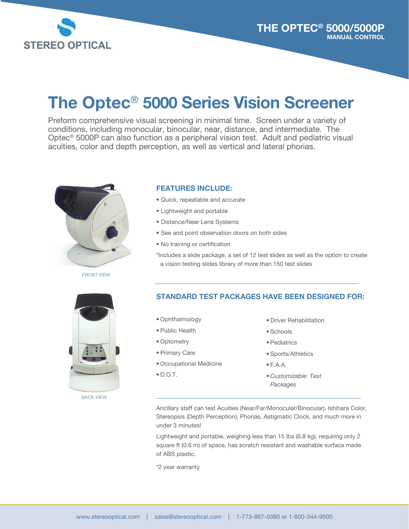

# The Optec® 5000 Series Vision Screener

Preform comprehensive visual screening in minimal time. Screen under a variety of conditions, including monocular, binocular, near, distance, and intermediate. The Optec® 5000P can also function as a peripheral vision test. Adult and pediatric visual acuities, color and depth perception, as well as vertical and lateral phorias.



FRONT VIEW

#### FEATURES INCLUDE:

- Quick, repeatable and accurate
- Lightweight and portable
- Distance/Near Lens Systems
- See and point observation doors on both sides
- No training or certification

\*Includes a slide package, a set of 12 test slides as well as the option to create a vision testing slides library of more than 150 test slides



BACK VIEW

#### STANDARD TEST PACKAGES HAVE BEEN DESIGNED FOR:

- Ophthalmology
- Public Health
- Optometry
- Primary Care
- Occupational Medicine
- $\bullet$  D.O.T.
- Driver Rehabilitation
- Schools
- Pediatrics
- Sports/Athletics
- F.A.A.
- *Customizable Test Packages*

Ancillary staff can test Acuities (Near/Far/Monocular/Binocular), Ishihara Color, Stereopsis (Depth Perception), Phorias, Astigmatic Clock, and much more in under 3 minutes!

Lightweight and portable, weighing less than 15 lbs (6.8 kg), requiring only 2 square ft (0.6 m) of space, has scratch resistant and washable surface made of ABS plastic.

\*2 year warranty